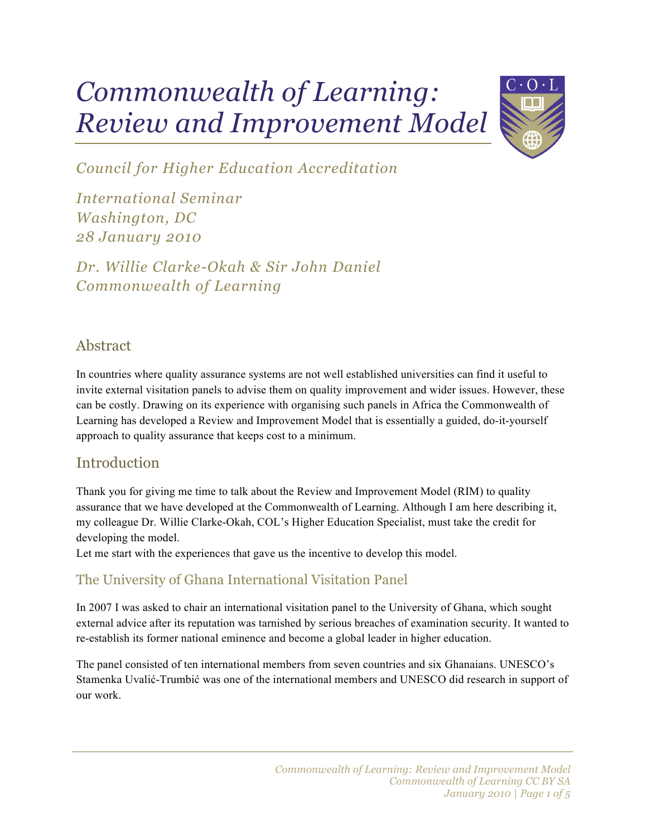# *Commonwealth of Learning: Review and Improvement Model*



*Council for Higher Education Accreditation*

*International Seminar Washington, DC 28 January 2010*

*Dr. Willie Clarke-Okah & Sir John Daniel Commonwealth of Learning*

## Abstract

In countries where quality assurance systems are not well established universities can find it useful to invite external visitation panels to advise them on quality improvement and wider issues. However, these can be costly. Drawing on its experience with organising such panels in Africa the Commonwealth of Learning has developed a Review and Improvement Model that is essentially a guided, do-it-yourself approach to quality assurance that keeps cost to a minimum.

# **Introduction**

Thank you for giving me time to talk about the Review and Improvement Model (RIM) to quality assurance that we have developed at the Commonwealth of Learning. Although I am here describing it, my colleague Dr. Willie Clarke-Okah, COL's Higher Education Specialist, must take the credit for developing the model.

Let me start with the experiences that gave us the incentive to develop this model.

## The University of Ghana International Visitation Panel

In 2007 I was asked to chair an international visitation panel to the University of Ghana, which sought external advice after its reputation was tarnished by serious breaches of examination security. It wanted to re-establish its former national eminence and become a global leader in higher education.

The panel consisted of ten international members from seven countries and six Ghanaians. UNESCO's Stamenka Uvalić-Trumbić was one of the international members and UNESCO did research in support of our work.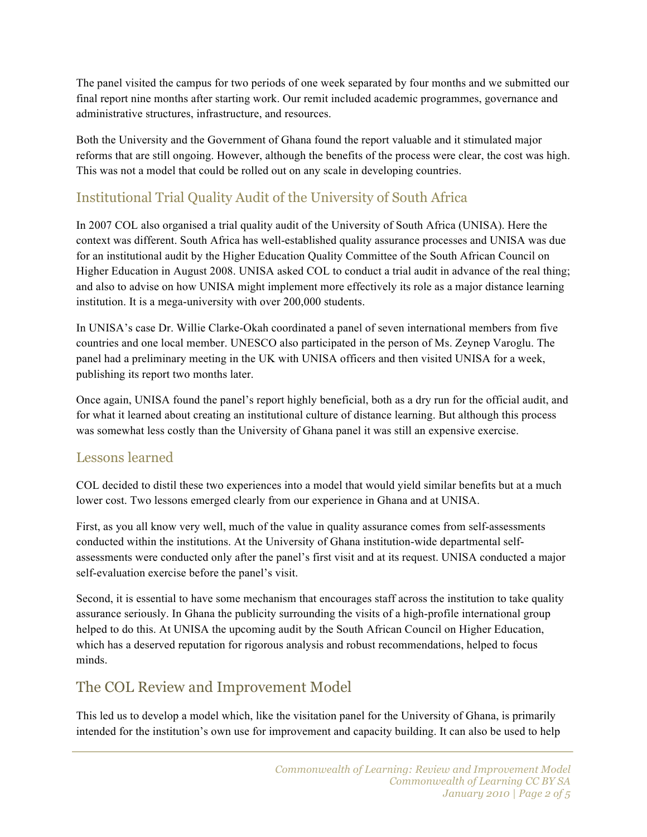The panel visited the campus for two periods of one week separated by four months and we submitted our final report nine months after starting work. Our remit included academic programmes, governance and administrative structures, infrastructure, and resources.

Both the University and the Government of Ghana found the report valuable and it stimulated major reforms that are still ongoing. However, although the benefits of the process were clear, the cost was high. This was not a model that could be rolled out on any scale in developing countries.

#### Institutional Trial Quality Audit of the University of South Africa

In 2007 COL also organised a trial quality audit of the University of South Africa (UNISA). Here the context was different. South Africa has well-established quality assurance processes and UNISA was due for an institutional audit by the Higher Education Quality Committee of the South African Council on Higher Education in August 2008. UNISA asked COL to conduct a trial audit in advance of the real thing; and also to advise on how UNISA might implement more effectively its role as a major distance learning institution. It is a mega-university with over 200,000 students.

In UNISA's case Dr. Willie Clarke-Okah coordinated a panel of seven international members from five countries and one local member. UNESCO also participated in the person of Ms. Zeynep Varoglu. The panel had a preliminary meeting in the UK with UNISA officers and then visited UNISA for a week, publishing its report two months later.

Once again, UNISA found the panel's report highly beneficial, both as a dry run for the official audit, and for what it learned about creating an institutional culture of distance learning. But although this process was somewhat less costly than the University of Ghana panel it was still an expensive exercise.

#### Lessons learned

COL decided to distil these two experiences into a model that would yield similar benefits but at a much lower cost. Two lessons emerged clearly from our experience in Ghana and at UNISA.

First, as you all know very well, much of the value in quality assurance comes from self-assessments conducted within the institutions. At the University of Ghana institution-wide departmental selfassessments were conducted only after the panel's first visit and at its request. UNISA conducted a major self-evaluation exercise before the panel's visit.

Second, it is essential to have some mechanism that encourages staff across the institution to take quality assurance seriously. In Ghana the publicity surrounding the visits of a high-profile international group helped to do this. At UNISA the upcoming audit by the South African Council on Higher Education, which has a deserved reputation for rigorous analysis and robust recommendations, helped to focus minds.

# The COL Review and Improvement Model

This led us to develop a model which, like the visitation panel for the University of Ghana, is primarily intended for the institution's own use for improvement and capacity building. It can also be used to help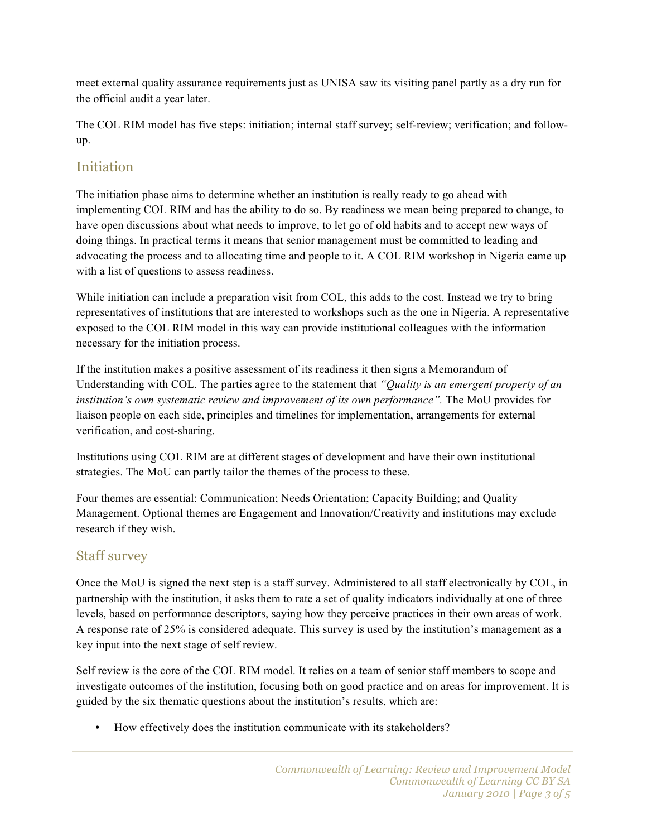meet external quality assurance requirements just as UNISA saw its visiting panel partly as a dry run for the official audit a year later.

The COL RIM model has five steps: initiation; internal staff survey; self-review; verification; and followup.

#### **Initiation**

The initiation phase aims to determine whether an institution is really ready to go ahead with implementing COL RIM and has the ability to do so. By readiness we mean being prepared to change, to have open discussions about what needs to improve, to let go of old habits and to accept new ways of doing things. In practical terms it means that senior management must be committed to leading and advocating the process and to allocating time and people to it. A COL RIM workshop in Nigeria came up with a list of questions to assess readiness.

While initiation can include a preparation visit from COL, this adds to the cost. Instead we try to bring representatives of institutions that are interested to workshops such as the one in Nigeria. A representative exposed to the COL RIM model in this way can provide institutional colleagues with the information necessary for the initiation process.

If the institution makes a positive assessment of its readiness it then signs a Memorandum of Understanding with COL. The parties agree to the statement that *"Quality is an emergent property of an institution's own systematic review and improvement of its own performance".* The MoU provides for liaison people on each side, principles and timelines for implementation, arrangements for external verification, and cost-sharing.

Institutions using COL RIM are at different stages of development and have their own institutional strategies. The MoU can partly tailor the themes of the process to these.

Four themes are essential: Communication; Needs Orientation; Capacity Building; and Quality Management. Optional themes are Engagement and Innovation/Creativity and institutions may exclude research if they wish.

#### Staff survey

Once the MoU is signed the next step is a staff survey. Administered to all staff electronically by COL, in partnership with the institution, it asks them to rate a set of quality indicators individually at one of three levels, based on performance descriptors, saying how they perceive practices in their own areas of work. A response rate of 25% is considered adequate. This survey is used by the institution's management as a key input into the next stage of self review.

Self review is the core of the COL RIM model. It relies on a team of senior staff members to scope and investigate outcomes of the institution, focusing both on good practice and on areas for improvement. It is guided by the six thematic questions about the institution's results, which are:

• How effectively does the institution communicate with its stakeholders?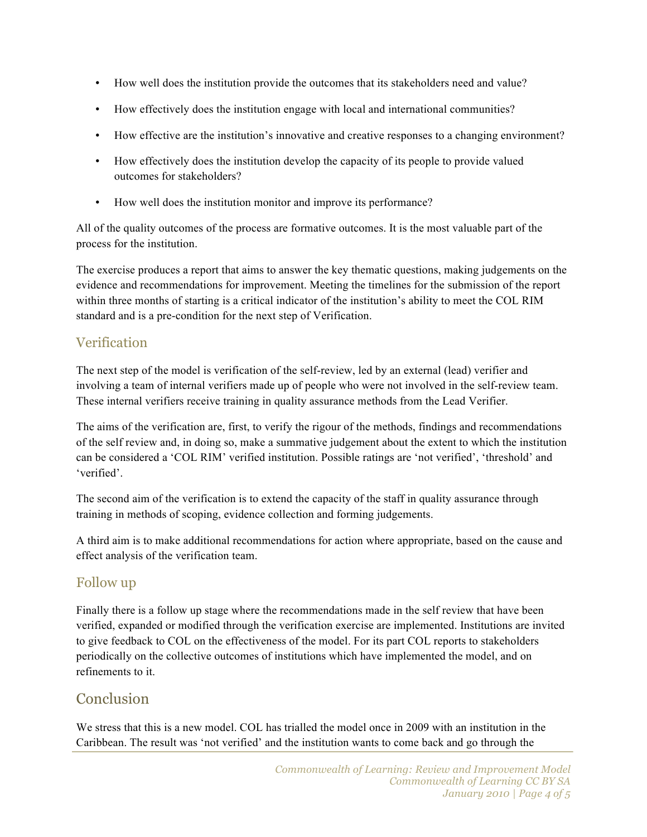- How well does the institution provide the outcomes that its stakeholders need and value?
- How effectively does the institution engage with local and international communities?
- How effective are the institution's innovative and creative responses to a changing environment?
- How effectively does the institution develop the capacity of its people to provide valued outcomes for stakeholders?
- How well does the institution monitor and improve its performance?

All of the quality outcomes of the process are formative outcomes. It is the most valuable part of the process for the institution.

The exercise produces a report that aims to answer the key thematic questions, making judgements on the evidence and recommendations for improvement. Meeting the timelines for the submission of the report within three months of starting is a critical indicator of the institution's ability to meet the COL RIM standard and is a pre-condition for the next step of Verification.

#### Verification

The next step of the model is verification of the self-review, led by an external (lead) verifier and involving a team of internal verifiers made up of people who were not involved in the self-review team. These internal verifiers receive training in quality assurance methods from the Lead Verifier.

The aims of the verification are, first, to verify the rigour of the methods, findings and recommendations of the self review and, in doing so, make a summative judgement about the extent to which the institution can be considered a 'COL RIM' verified institution. Possible ratings are 'not verified', 'threshold' and 'verified'.

The second aim of the verification is to extend the capacity of the staff in quality assurance through training in methods of scoping, evidence collection and forming judgements.

A third aim is to make additional recommendations for action where appropriate, based on the cause and effect analysis of the verification team.

#### Follow up

Finally there is a follow up stage where the recommendations made in the self review that have been verified, expanded or modified through the verification exercise are implemented. Institutions are invited to give feedback to COL on the effectiveness of the model. For its part COL reports to stakeholders periodically on the collective outcomes of institutions which have implemented the model, and on refinements to it.

#### Conclusion

We stress that this is a new model. COL has trialled the model once in 2009 with an institution in the Caribbean. The result was 'not verified' and the institution wants to come back and go through the